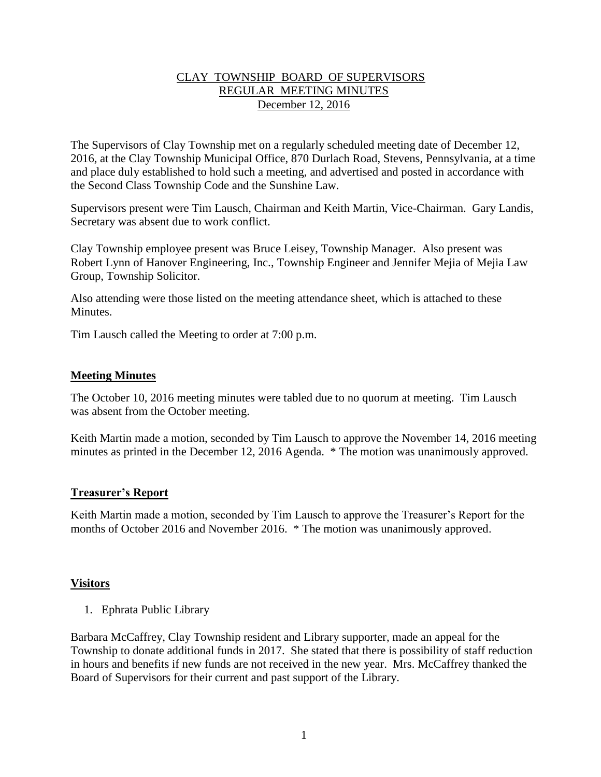### CLAY TOWNSHIP BOARD OF SUPERVISORS REGULAR MEETING MINUTES December 12, 2016

The Supervisors of Clay Township met on a regularly scheduled meeting date of December 12, 2016, at the Clay Township Municipal Office, 870 Durlach Road, Stevens, Pennsylvania, at a time and place duly established to hold such a meeting, and advertised and posted in accordance with the Second Class Township Code and the Sunshine Law.

Supervisors present were Tim Lausch, Chairman and Keith Martin, Vice-Chairman. Gary Landis, Secretary was absent due to work conflict.

Clay Township employee present was Bruce Leisey, Township Manager. Also present was Robert Lynn of Hanover Engineering, Inc., Township Engineer and Jennifer Mejia of Mejia Law Group, Township Solicitor.

Also attending were those listed on the meeting attendance sheet, which is attached to these Minutes.

Tim Lausch called the Meeting to order at 7:00 p.m.

#### **Meeting Minutes**

The October 10, 2016 meeting minutes were tabled due to no quorum at meeting. Tim Lausch was absent from the October meeting.

Keith Martin made a motion, seconded by Tim Lausch to approve the November 14, 2016 meeting minutes as printed in the December 12, 2016 Agenda. \* The motion was unanimously approved.

#### **Treasurer's Report**

Keith Martin made a motion, seconded by Tim Lausch to approve the Treasurer's Report for the months of October 2016 and November 2016. \* The motion was unanimously approved.

#### **Visitors**

1. Ephrata Public Library

Barbara McCaffrey, Clay Township resident and Library supporter, made an appeal for the Township to donate additional funds in 2017. She stated that there is possibility of staff reduction in hours and benefits if new funds are not received in the new year. Mrs. McCaffrey thanked the Board of Supervisors for their current and past support of the Library.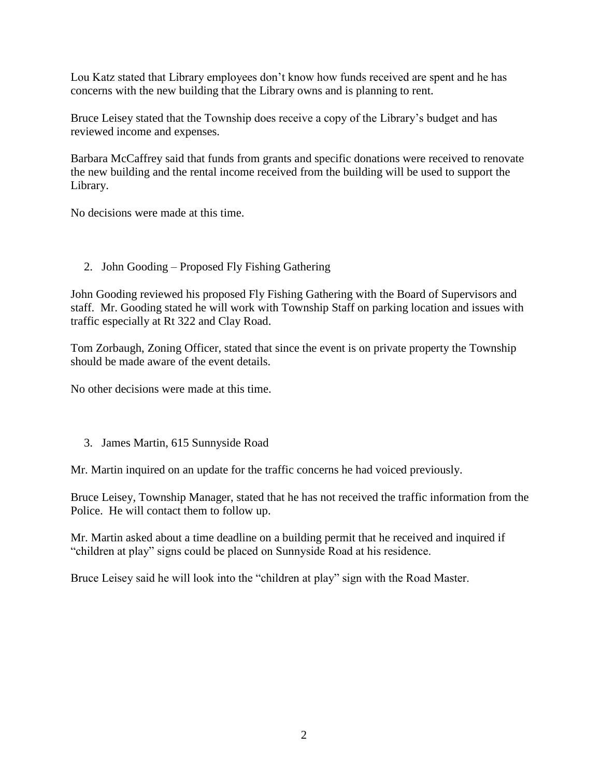Lou Katz stated that Library employees don't know how funds received are spent and he has concerns with the new building that the Library owns and is planning to rent.

Bruce Leisey stated that the Township does receive a copy of the Library's budget and has reviewed income and expenses.

Barbara McCaffrey said that funds from grants and specific donations were received to renovate the new building and the rental income received from the building will be used to support the Library.

No decisions were made at this time.

## 2. John Gooding – Proposed Fly Fishing Gathering

John Gooding reviewed his proposed Fly Fishing Gathering with the Board of Supervisors and staff. Mr. Gooding stated he will work with Township Staff on parking location and issues with traffic especially at Rt 322 and Clay Road.

Tom Zorbaugh, Zoning Officer, stated that since the event is on private property the Township should be made aware of the event details.

No other decisions were made at this time.

3. James Martin, 615 Sunnyside Road

Mr. Martin inquired on an update for the traffic concerns he had voiced previously.

Bruce Leisey, Township Manager, stated that he has not received the traffic information from the Police. He will contact them to follow up.

Mr. Martin asked about a time deadline on a building permit that he received and inquired if "children at play" signs could be placed on Sunnyside Road at his residence.

Bruce Leisey said he will look into the "children at play" sign with the Road Master.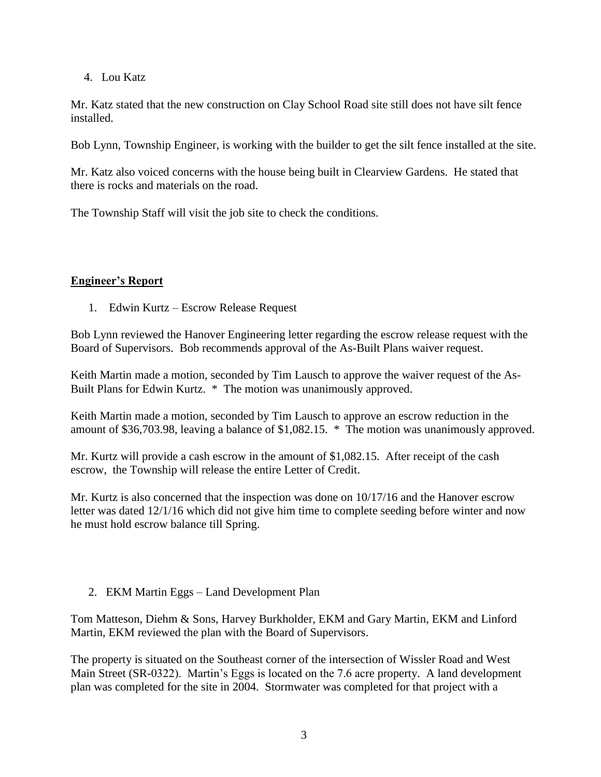4. Lou Katz

Mr. Katz stated that the new construction on Clay School Road site still does not have silt fence installed.

Bob Lynn, Township Engineer, is working with the builder to get the silt fence installed at the site.

Mr. Katz also voiced concerns with the house being built in Clearview Gardens. He stated that there is rocks and materials on the road.

The Township Staff will visit the job site to check the conditions.

#### **Engineer's Report**

1. Edwin Kurtz – Escrow Release Request

Bob Lynn reviewed the Hanover Engineering letter regarding the escrow release request with the Board of Supervisors. Bob recommends approval of the As-Built Plans waiver request.

Keith Martin made a motion, seconded by Tim Lausch to approve the waiver request of the As-Built Plans for Edwin Kurtz. \* The motion was unanimously approved.

Keith Martin made a motion, seconded by Tim Lausch to approve an escrow reduction in the amount of \$36,703.98, leaving a balance of \$1,082.15. \* The motion was unanimously approved.

Mr. Kurtz will provide a cash escrow in the amount of \$1,082.15. After receipt of the cash escrow, the Township will release the entire Letter of Credit.

Mr. Kurtz is also concerned that the inspection was done on 10/17/16 and the Hanover escrow letter was dated 12/1/16 which did not give him time to complete seeding before winter and now he must hold escrow balance till Spring.

## 2. EKM Martin Eggs – Land Development Plan

Tom Matteson, Diehm & Sons, Harvey Burkholder, EKM and Gary Martin, EKM and Linford Martin, EKM reviewed the plan with the Board of Supervisors.

The property is situated on the Southeast corner of the intersection of Wissler Road and West Main Street (SR-0322). Martin's Eggs is located on the 7.6 acre property. A land development plan was completed for the site in 2004. Stormwater was completed for that project with a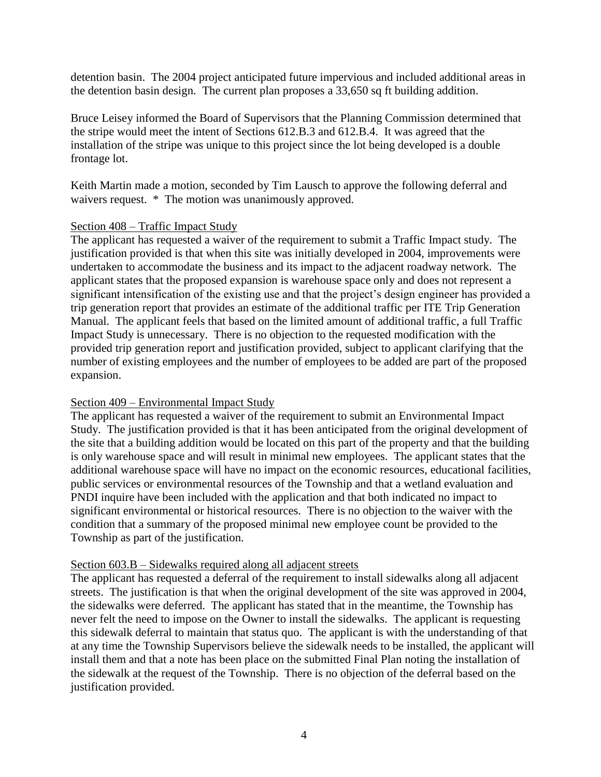detention basin. The 2004 project anticipated future impervious and included additional areas in the detention basin design. The current plan proposes a 33,650 sq ft building addition.

Bruce Leisey informed the Board of Supervisors that the Planning Commission determined that the stripe would meet the intent of Sections 612.B.3 and 612.B.4. It was agreed that the installation of the stripe was unique to this project since the lot being developed is a double frontage lot.

Keith Martin made a motion, seconded by Tim Lausch to approve the following deferral and waivers request. \* The motion was unanimously approved.

#### Section 408 – Traffic Impact Study

The applicant has requested a waiver of the requirement to submit a Traffic Impact study. The justification provided is that when this site was initially developed in 2004, improvements were undertaken to accommodate the business and its impact to the adjacent roadway network. The applicant states that the proposed expansion is warehouse space only and does not represent a significant intensification of the existing use and that the project's design engineer has provided a trip generation report that provides an estimate of the additional traffic per ITE Trip Generation Manual. The applicant feels that based on the limited amount of additional traffic, a full Traffic Impact Study is unnecessary. There is no objection to the requested modification with the provided trip generation report and justification provided, subject to applicant clarifying that the number of existing employees and the number of employees to be added are part of the proposed expansion.

## Section 409 – Environmental Impact Study

The applicant has requested a waiver of the requirement to submit an Environmental Impact Study. The justification provided is that it has been anticipated from the original development of the site that a building addition would be located on this part of the property and that the building is only warehouse space and will result in minimal new employees. The applicant states that the additional warehouse space will have no impact on the economic resources, educational facilities, public services or environmental resources of the Township and that a wetland evaluation and PNDI inquire have been included with the application and that both indicated no impact to significant environmental or historical resources. There is no objection to the waiver with the condition that a summary of the proposed minimal new employee count be provided to the Township as part of the justification.

#### Section 603.B – Sidewalks required along all adjacent streets

The applicant has requested a deferral of the requirement to install sidewalks along all adjacent streets. The justification is that when the original development of the site was approved in 2004, the sidewalks were deferred. The applicant has stated that in the meantime, the Township has never felt the need to impose on the Owner to install the sidewalks. The applicant is requesting this sidewalk deferral to maintain that status quo. The applicant is with the understanding of that at any time the Township Supervisors believe the sidewalk needs to be installed, the applicant will install them and that a note has been place on the submitted Final Plan noting the installation of the sidewalk at the request of the Township. There is no objection of the deferral based on the justification provided.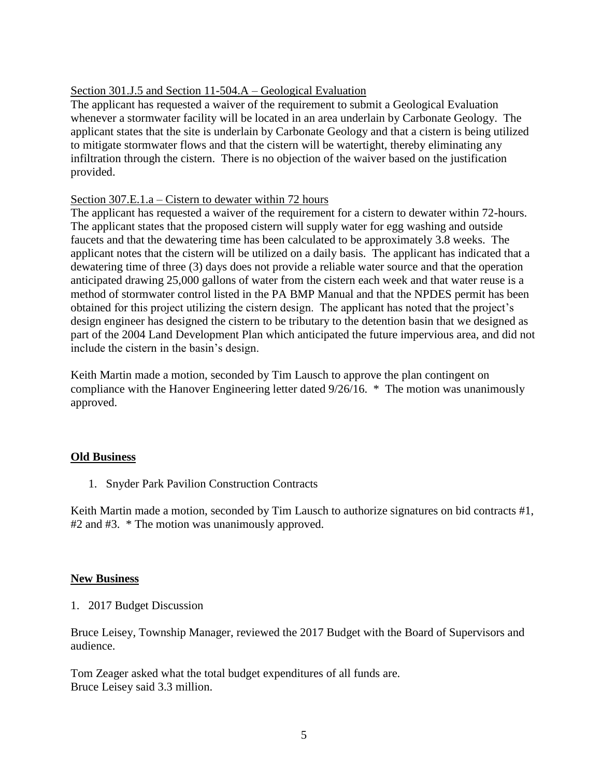### Section 301.J.5 and Section 11-504.A – Geological Evaluation

The applicant has requested a waiver of the requirement to submit a Geological Evaluation whenever a stormwater facility will be located in an area underlain by Carbonate Geology. The applicant states that the site is underlain by Carbonate Geology and that a cistern is being utilized to mitigate stormwater flows and that the cistern will be watertight, thereby eliminating any infiltration through the cistern. There is no objection of the waiver based on the justification provided.

#### Section 307.E.1.a – Cistern to dewater within 72 hours

The applicant has requested a waiver of the requirement for a cistern to dewater within 72-hours. The applicant states that the proposed cistern will supply water for egg washing and outside faucets and that the dewatering time has been calculated to be approximately 3.8 weeks. The applicant notes that the cistern will be utilized on a daily basis. The applicant has indicated that a dewatering time of three (3) days does not provide a reliable water source and that the operation anticipated drawing 25,000 gallons of water from the cistern each week and that water reuse is a method of stormwater control listed in the PA BMP Manual and that the NPDES permit has been obtained for this project utilizing the cistern design. The applicant has noted that the project's design engineer has designed the cistern to be tributary to the detention basin that we designed as part of the 2004 Land Development Plan which anticipated the future impervious area, and did not include the cistern in the basin's design.

Keith Martin made a motion, seconded by Tim Lausch to approve the plan contingent on compliance with the Hanover Engineering letter dated 9/26/16. \* The motion was unanimously approved.

## **Old Business**

1. Snyder Park Pavilion Construction Contracts

Keith Martin made a motion, seconded by Tim Lausch to authorize signatures on bid contracts #1, #2 and #3. \* The motion was unanimously approved.

#### **New Business**

1. 2017 Budget Discussion

Bruce Leisey, Township Manager, reviewed the 2017 Budget with the Board of Supervisors and audience.

Tom Zeager asked what the total budget expenditures of all funds are. Bruce Leisey said 3.3 million.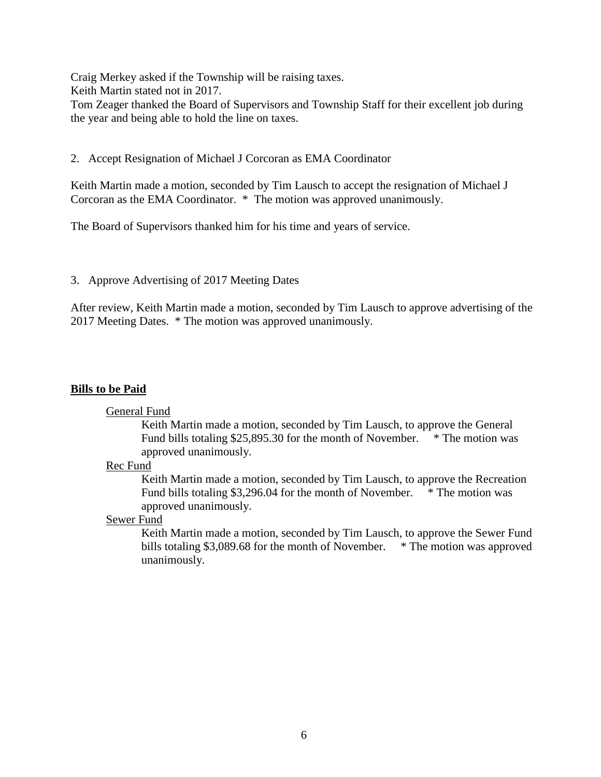Craig Merkey asked if the Township will be raising taxes. Keith Martin stated not in 2017.

Tom Zeager thanked the Board of Supervisors and Township Staff for their excellent job during the year and being able to hold the line on taxes.

2. Accept Resignation of Michael J Corcoran as EMA Coordinator

Keith Martin made a motion, seconded by Tim Lausch to accept the resignation of Michael J Corcoran as the EMA Coordinator. \* The motion was approved unanimously.

The Board of Supervisors thanked him for his time and years of service.

## 3. Approve Advertising of 2017 Meeting Dates

After review, Keith Martin made a motion, seconded by Tim Lausch to approve advertising of the 2017 Meeting Dates. \* The motion was approved unanimously.

## **Bills to be Paid**

## General Fund

Keith Martin made a motion, seconded by Tim Lausch, to approve the General Fund bills totaling \$25,895.30 for the month of November. \* The motion was approved unanimously.

## Rec Fund

Keith Martin made a motion, seconded by Tim Lausch, to approve the Recreation Fund bills totaling \$3,296.04 for the month of November. \* The motion was approved unanimously.

## Sewer Fund

Keith Martin made a motion, seconded by Tim Lausch, to approve the Sewer Fund bills totaling \$3,089.68 for the month of November. \* The motion was approved unanimously.